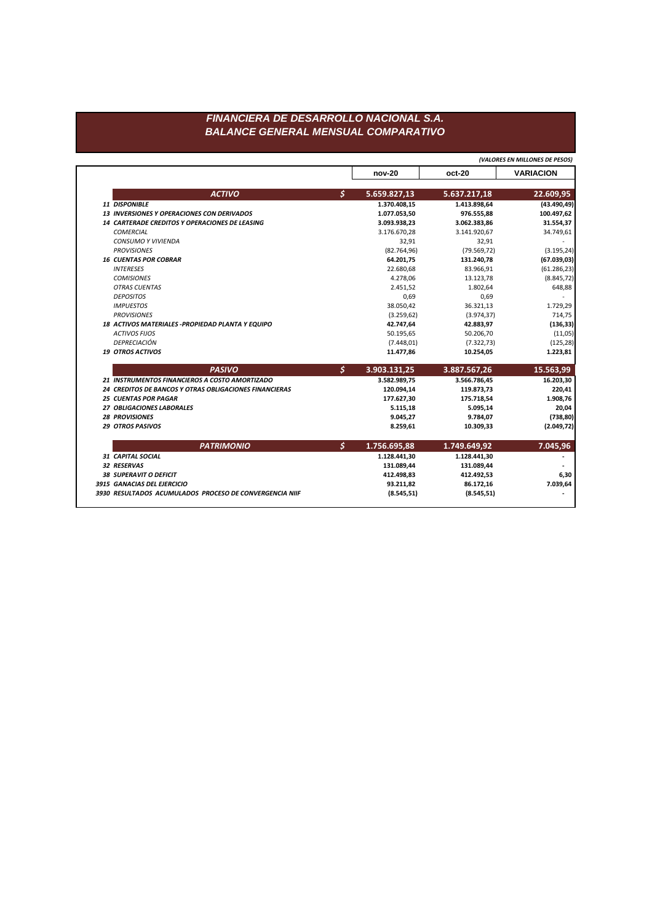## FINANCIERA DE DESARROLLO NACIONAL S.A. **BALANCE GENERAL MENSUAL COMPARATIVO**

(VALORES EN MILLONES DE PESOS)

|                                                        | <b>nov-20</b> | oct-20       | <b>VARIACION</b> |
|--------------------------------------------------------|---------------|--------------|------------------|
| <b>ACTIVO</b><br>$\mathsf{S}$                          | 5.659.827,13  | 5.637.217,18 | 22.609,95        |
| 11 DISPONIBLE                                          | 1.370.408,15  | 1.413.898,64 | (43.490, 49)     |
| <b>13 INVERSIONES Y OPERACIONES CON DERIVADOS</b>      | 1.077.053,50  | 976.555,88   | 100.497,62       |
| <b>14 CARTERADE CREDITOS Y OPERACIONES DE LEASING</b>  | 3.093.938,23  | 3.062.383,86 | 31.554,37        |
| <b>COMERCIAL</b>                                       | 3.176.670,28  | 3.141.920,67 | 34.749,61        |
| <b>CONSUMO Y VIVIENDA</b>                              | 32,91         | 32,91        |                  |
| <b>PROVISIONES</b>                                     | (82.764, 96)  | (79.569, 72) | (3.195, 24)      |
| <b>16 CUENTAS POR COBRAR</b>                           | 64.201,75     | 131.240,78   | (67.039, 03)     |
| <b>INTERESES</b>                                       | 22.680,68     | 83.966,91    | (61.286, 23)     |
| <b>COMISIONES</b>                                      | 4.278,06      | 13.123,78    | (8.845, 72)      |
| <b>OTRAS CUENTAS</b>                                   | 2.451,52      | 1.802,64     | 648,88           |
| <b>DEPOSITOS</b>                                       | 0,69          | 0,69         |                  |
| <b>IMPUESTOS</b>                                       | 38.050,42     | 36.321,13    | 1.729,29         |
| <b>PROVISIONES</b>                                     | (3.259, 62)   | (3.974, 37)  | 714,75           |
| 18 ACTIVOS MATERIALES - PROPIEDAD PLANTA Y EQUIPO      | 42.747,64     | 42.883,97    | (136, 33)        |
| <b>ACTIVOS FIJOS</b>                                   | 50.195,65     | 50.206,70    | (11,05)          |
| <b>DEPRECIACIÓN</b>                                    | (7.448, 01)   | (7.322, 73)  | (125, 28)        |
| <b>19 OTROS ACTIVOS</b>                                | 11.477,86     | 10.254,05    | 1.223,81         |
| \$<br><b>PASIVO</b>                                    | 3.903.131,25  | 3.887.567,26 | 15.563,99        |
| 21 INSTRUMENTOS FINANCIEROS A COSTO AMORTIZADO         | 3.582.989,75  | 3.566.786,45 | 16.203,30        |
| 24 CREDITOS DE BANCOS Y OTRAS OBLIGACIONES FINANCIERAS | 120.094,14    | 119.873,73   | 220,41           |
| <b>25 CUENTAS POR PAGAR</b>                            | 177.627,30    | 175.718,54   | 1.908,76         |
| 27 OBLIGACIONES LABORALES                              | 5.115,18      | 5.095,14     | 20,04            |
| <b>28 PROVISIONES</b>                                  | 9.045,27      | 9.784,07     | (738, 80)        |
| <b>29 OTROS PASIVOS</b>                                | 8.259,61      | 10.309,33    | (2.049, 72)      |
| $\boldsymbol{\zeta}$<br><b>PATRIMONIO</b>              | 1.756.695,88  | 1.749.649,92 | 7.045,96         |
| <b>31 CAPITAL SOCIAL</b>                               | 1.128.441,30  | 1.128.441,30 |                  |
| 32 RESERVAS                                            | 131.089,44    | 131.089,44   |                  |
| <b>38 SUPERAVIT O DEFICIT</b>                          | 412.498,83    | 412.492,53   | 6,30             |
|                                                        |               | 86.172,16    | 7.039,64         |
| 3915 GANACIAS DEL EJERCICIO                            | 93.211,82     |              |                  |